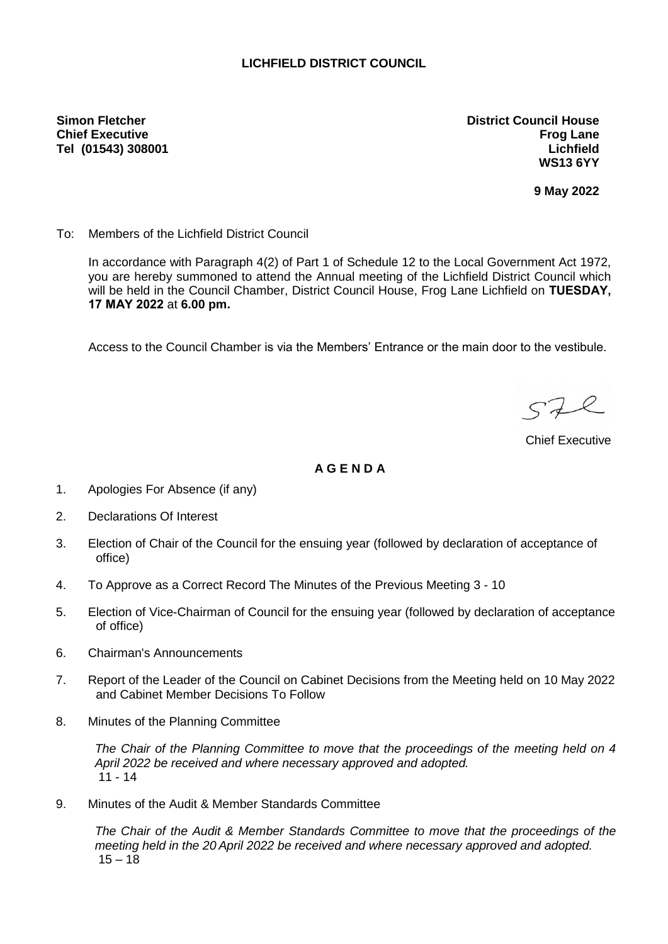## **LICHFIELD DISTRICT COUNCIL**

**Simon Fletcher Chief Executive Tel (01543) 308001** **District Council House Frog Lane Lichfield WS13 6YY**

**9 May 2022**

To: Members of the Lichfield District Council

In accordance with Paragraph 4(2) of Part 1 of Schedule 12 to the Local Government Act 1972, you are hereby summoned to attend the Annual meeting of the Lichfield District Council which will be held in the Council Chamber, District Council House, Frog Lane Lichfield on **TUESDAY, 17 MAY 2022** at **6.00 pm.**

Access to the Council Chamber is via the Members' Entrance or the main door to the vestibule.

 $572$ 

Chief Executive

## **A G E N D A**

- 1. Apologies For Absence (if any)
- 2. Declarations Of Interest
- 3. Election of Chair of the Council for the ensuing year (followed by declaration of acceptance of office)
- 4. To Approve as a Correct Record The Minutes of the Previous Meeting 3 10
- 5. Election of Vice-Chairman of Council for the ensuing year (followed by declaration of acceptance of office)
- 6. Chairman's Announcements
- 7. Report of the Leader of the Council on Cabinet Decisions from the Meeting held on 10 May 2022 and Cabinet Member Decisions To Follow
- 8. Minutes of the Planning Committee

*The Chair of the Planning Committee to move that the proceedings of the meeting held on 4 April 2022 be received and where necessary approved and adopted.* 11 - 14

9. Minutes of the Audit & Member Standards Committee

*The Chair of the Audit & Member Standards Committee to move that the proceedings of the meeting held in the 20 April 2022 be received and where necessary approved and adopted.*  $15 - 18$